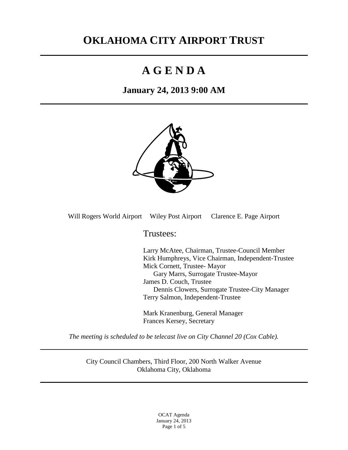# **OKLAHOMA CITY AIRPORT TRUST**

# **A G E N D A**

# **January 24, 2013 9:00 AM**



Will Rogers World Airport Wiley Post Airport Clarence E. Page Airport

Trustees:

Larry McAtee, Chairman, Trustee-Council Member Kirk Humphreys, Vice Chairman, Independent-Trustee Mick Cornett, Trustee- Mayor Gary Marrs, Surrogate Trustee-Mayor James D. Couch, Trustee Dennis Clowers, Surrogate Trustee-City Manager Terry Salmon, Independent-Trustee

Mark Kranenburg, General Manager Frances Kersey, Secretary

*The meeting is scheduled to be telecast live on City Channel 20 (Cox Cable).*

City Council Chambers, Third Floor, 200 North Walker Avenue Oklahoma City, Oklahoma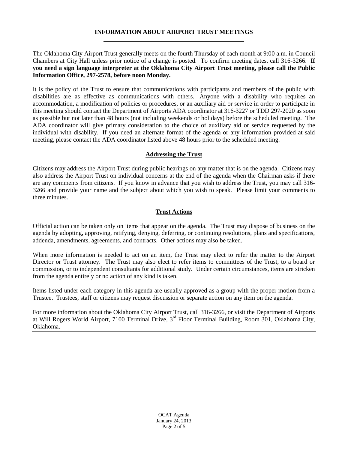#### **INFORMATION ABOUT AIRPORT TRUST MEETINGS** \_\_\_\_\_\_\_\_\_\_\_\_\_\_\_\_\_\_\_\_\_\_\_\_\_\_\_\_\_\_\_\_\_\_\_\_\_\_\_\_\_\_\_\_\_

The Oklahoma City Airport Trust generally meets on the fourth Thursday of each month at 9:00 a.m. in Council Chambers at City Hall unless prior notice of a change is posted. To confirm meeting dates, call 316-3266. **If you need a sign language interpreter at the Oklahoma City Airport Trust meeting, please call the Public Information Office, 297-2578, before noon Monday.**

It is the policy of the Trust to ensure that communications with participants and members of the public with disabilities are as effective as communications with others. Anyone with a disability who requires an accommodation, a modification of policies or procedures, or an auxiliary aid or service in order to participate in this meeting should contact the Department of Airports ADA coordinator at 316-3227 or TDD 297-2020 as soon as possible but not later than 48 hours (not including weekends or holidays) before the scheduled meeting. The ADA coordinator will give primary consideration to the choice of auxiliary aid or service requested by the individual with disability. If you need an alternate format of the agenda or any information provided at said meeting, please contact the ADA coordinator listed above 48 hours prior to the scheduled meeting.

#### **Addressing the Trust**

Citizens may address the Airport Trust during public hearings on any matter that is on the agenda. Citizens may also address the Airport Trust on individual concerns at the end of the agenda when the Chairman asks if there are any comments from citizens. If you know in advance that you wish to address the Trust, you may call 316- 3266 and provide your name and the subject about which you wish to speak. Please limit your comments to three minutes.

#### **Trust Actions**

Official action can be taken only on items that appear on the agenda. The Trust may dispose of business on the agenda by adopting, approving, ratifying, denying, deferring, or continuing resolutions, plans and specifications, addenda, amendments, agreements, and contracts. Other actions may also be taken.

When more information is needed to act on an item, the Trust may elect to refer the matter to the Airport Director or Trust attorney. The Trust may also elect to refer items to committees of the Trust, to a board or commission, or to independent consultants for additional study. Under certain circumstances, items are stricken from the agenda entirely or no action of any kind is taken.

Items listed under each category in this agenda are usually approved as a group with the proper motion from a Trustee. Trustees, staff or citizens may request discussion or separate action on any item on the agenda.

For more information about the Oklahoma City Airport Trust, call 316-3266, or visit the Department of Airports at Will Rogers World Airport, 7100 Terminal Drive, 3<sup>rd</sup> Floor Terminal Building, Room 301, Oklahoma City, Oklahoma.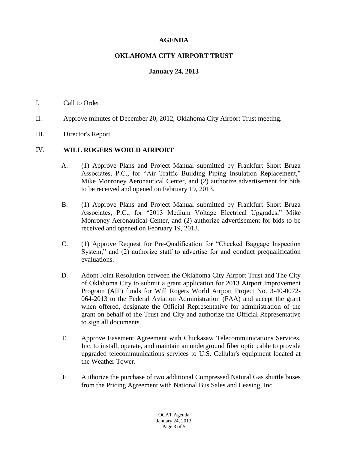### **AGENDA**

#### **OKLAHOMA CITY AIRPORT TRUST**

#### **January 24, 2013**

**\_\_\_\_\_\_\_\_\_\_\_\_\_\_\_\_\_\_\_\_\_\_\_\_\_\_\_\_\_\_\_\_\_\_\_\_\_\_\_\_\_\_\_\_\_\_\_\_\_\_\_\_\_\_\_\_\_\_\_\_\_\_\_\_**

#### I. Call to Order

- II. Approve minutes of December 20, 2012, Oklahoma City Airport Trust meeting.
- III. Director's Report

#### IV. **WILL ROGERS WORLD AIRPORT**

- A. (1) Approve Plans and Project Manual submitted by Frankfurt Short Bruza Associates, P.C., for "Air Traffic Building Piping Insulation Replacement," Mike Monroney Aeronautical Center, and (2) authorize advertisement for bids to be received and opened on February 19, 2013.
- B. (1) Approve Plans and Project Manual submitted by Frankfurt Short Bruza Associates, P.C., for "2013 Medium Voltage Electrical Upgrades," Mike Monroney Aeronautical Center, and (2) authorize advertisement for bids to be received and opened on February 19, 2013.
- C. (1) Approve Request for Pre-Qualification for "Checked Baggage Inspection System," and (2) authorize staff to advertise for and conduct prequalification evaluations.
- D. Adopt Joint Resolution between the Oklahoma City Airport Trust and The City of Oklahoma City to submit a grant application for 2013 Airport Improvement Program (AIP) funds for Will Rogers World Airport Project No. 3-40-0072- 064-2013 to the Federal Aviation Administration (FAA) and accept the grant when offered, designate the Official Representative for administration of the grant on behalf of the Trust and City and authorize the Official Representative to sign all documents.
- E. Approve Easement Agreement with Chickasaw Telecommunications Services, Inc. to install, operate, and maintain an underground fiber optic cable to provide upgraded telecommunications services to U.S. Cellular's equipment located at the Weather Tower.
- F. Authorize the purchase of two additional Compressed Natural Gas shuttle buses from the Pricing Agreement with National Bus Sales and Leasing, Inc.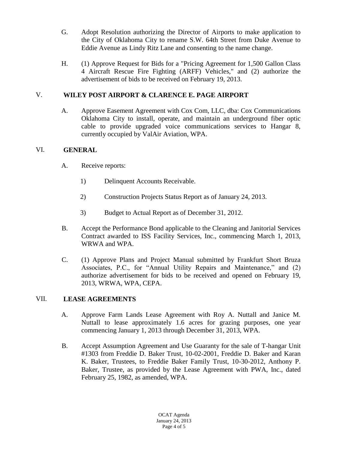- G. Adopt Resolution authorizing the Director of Airports to make application to the City of Oklahoma City to rename S.W. 64th Street from Duke Avenue to Eddie Avenue as Lindy Ritz Lane and consenting to the name change.
- H. (1) Approve Request for Bids for a "Pricing Agreement for 1,500 Gallon Class 4 Aircraft Rescue Fire Fighting (ARFF) Vehicles," and (2) authorize the advertisement of bids to be received on February 19, 2013.

## V. **WILEY POST AIRPORT & CLARENCE E. PAGE AIRPORT**

A. Approve Easement Agreement with Cox Com, LLC, dba: Cox Communications Oklahoma City to install, operate, and maintain an underground fiber optic cable to provide upgraded voice communications services to Hangar 8, currently occupied by ValAir Aviation, WPA.

# VI. **GENERAL**

- A. Receive reports:
	- 1) Delinquent Accounts Receivable.
	- 2) Construction Projects Status Report as of January 24, 2013.
	- 3) Budget to Actual Report as of December 31, 2012.
- B. Accept the Performance Bond applicable to the Cleaning and Janitorial Services Contract awarded to ISS Facility Services, Inc., commencing March 1, 2013, WRWA and WPA.
- C. (1) Approve Plans and Project Manual submitted by Frankfurt Short Bruza Associates, P.C., for "Annual Utility Repairs and Maintenance," and (2) authorize advertisement for bids to be received and opened on February 19, 2013, WRWA, WPA, CEPA.

### VII. **LEASE AGREEMENTS**

- A. Approve Farm Lands Lease Agreement with Roy A. Nuttall and Janice M. Nuttall to lease approximately 1.6 acres for grazing purposes, one year commencing January 1, 2013 through December 31, 2013, WPA.
- B. Accept Assumption Agreement and Use Guaranty for the sale of T-hangar Unit #1303 from Freddie D. Baker Trust, 10-02-2001, Freddie D. Baker and Karan K. Baker, Trustees, to Freddie Baker Family Trust, 10-30-2012, Anthony P. Baker, Trustee, as provided by the Lease Agreement with PWA, Inc., dated February 25, 1982, as amended, WPA.